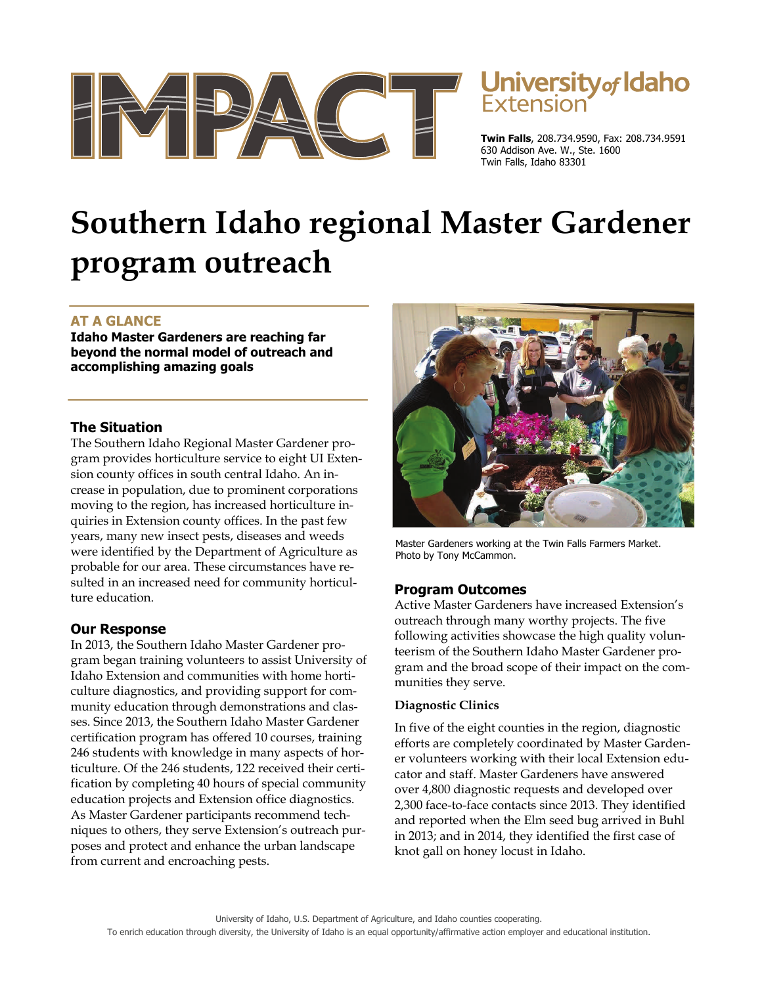

# University of Idaho

**Twin Falls**, 208.734.9590, Fax: 208.734.9591 630 Addison Ave. W., Ste. 1600 Twin Falls, Idaho 83301

# **Southern Idaho regional Master Gardener program outreach**

# **AT A GLANCE**

**Idaho Master Gardeners are reaching far beyond the normal model of outreach and accomplishing amazing goals** 

### **The Situation**

The Southern Idaho Regional Master Gardener program provides horticulture service to eight UI Extension county offices in south central Idaho. An increase in population, due to prominent corporations moving to the region, has increased horticulture inquiries in Extension county offices. In the past few years, many new insect pests, diseases and weeds were identified by the Department of Agriculture as probable for our area. These circumstances have resulted in an increased need for community horticulture education.

# **Our Response**

In 2013, the Southern Idaho Master Gardener program began training volunteers to assist University of Idaho Extension and communities with home horticulture diagnostics, and providing support for community education through demonstrations and classes. Since 2013, the Southern Idaho Master Gardener certification program has offered 10 courses, training 246 students with knowledge in many aspects of horticulture. Of the 246 students, 122 received their certification by completing 40 hours of special community education projects and Extension office diagnostics. As Master Gardener participants recommend techniques to others, they serve Extension's outreach purposes and protect and enhance the urban landscape from current and encroaching pests.



Master Gardeners working at the Twin Falls Farmers Market. Photo by Tony McCammon.

### **Program Outcomes**

Active Master Gardeners have increased Extension's outreach through many worthy projects. The five following activities showcase the high quality volunteerism of the Southern Idaho Master Gardener program and the broad scope of their impact on the communities they serve.

#### **Diagnostic Clinics**

In five of the eight counties in the region, diagnostic efforts are completely coordinated by Master Gardener volunteers working with their local Extension educator and staff. Master Gardeners have answered over 4,800 diagnostic requests and developed over 2,300 face-to-face contacts since 2013. They identified and reported when the Elm seed bug arrived in Buhl in 2013; and in 2014, they identified the first case of knot gall on honey locust in Idaho.